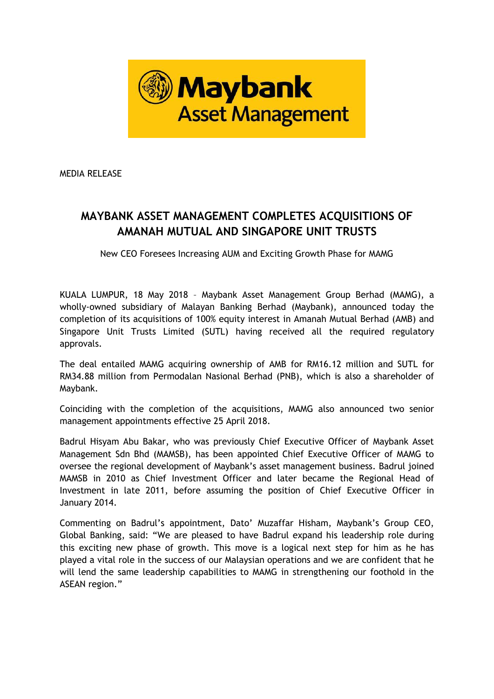

MEDIA RELEASE

## **MAYBANK ASSET MANAGEMENT COMPLETES ACQUISITIONS OF AMANAH MUTUAL AND SINGAPORE UNIT TRUSTS**

New CEO Foresees Increasing AUM and Exciting Growth Phase for MAMG

KUALA LUMPUR, 18 May 2018 – Maybank Asset Management Group Berhad (MAMG), a wholly-owned subsidiary of Malayan Banking Berhad (Maybank), announced today the completion of its acquisitions of 100% equity interest in Amanah Mutual Berhad (AMB) and Singapore Unit Trusts Limited (SUTL) having received all the required regulatory approvals.

The deal entailed MAMG acquiring ownership of AMB for RM16.12 million and SUTL for RM34.88 million from Permodalan Nasional Berhad (PNB), which is also a shareholder of Maybank.

Coinciding with the completion of the acquisitions, MAMG also announced two senior management appointments effective 25 April 2018.

Badrul Hisyam Abu Bakar, who was previously Chief Executive Officer of Maybank Asset Management Sdn Bhd (MAMSB), has been appointed Chief Executive Officer of MAMG to oversee the regional development of Maybank's asset management business. Badrul joined MAMSB in 2010 as Chief Investment Officer and later became the Regional Head of Investment in late 2011, before assuming the position of Chief Executive Officer in January 2014.

Commenting on Badrul's appointment, Dato' Muzaffar Hisham, Maybank's Group CEO, Global Banking, said: "We are pleased to have Badrul expand his leadership role during this exciting new phase of growth. This move is a logical next step for him as he has played a vital role in the success of our Malaysian operations and we are confident that he will lend the same leadership capabilities to MAMG in strengthening our foothold in the ASEAN region."